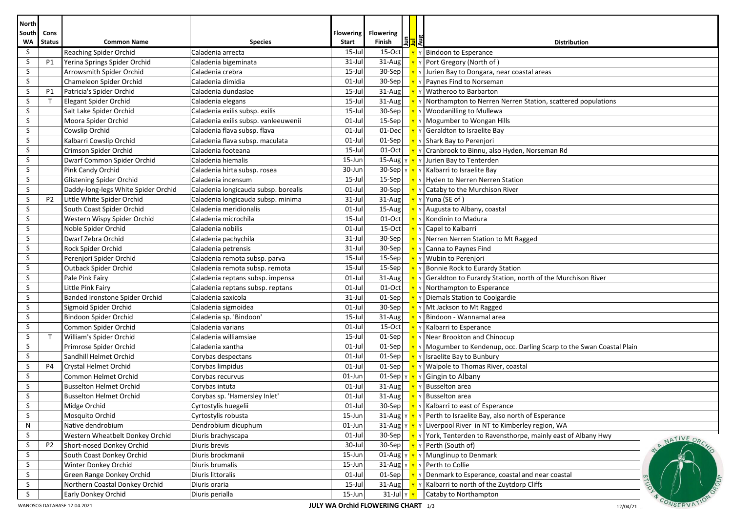| <b>North</b>     |                |                                     |                                      |                           |                                           |                          |                                                                                                     |
|------------------|----------------|-------------------------------------|--------------------------------------|---------------------------|-------------------------------------------|--------------------------|-----------------------------------------------------------------------------------------------------|
| South Cons<br>WA | <b>Status</b>  | <b>Common Name</b>                  | <b>Species</b>                       | <b>Flowering</b><br>Start | <b>Flowering</b><br>Finish                | any<br><mark>List</mark> | <b>Distribution</b>                                                                                 |
| S                |                | <b>Reaching Spider Orchid</b>       | Caladenia arrecta                    | 15-Jul                    | $15-Oct$                                  |                          | v Bindoon to Esperance                                                                              |
| S                | P1             | Yerina Springs Spider Orchid        | Caladenia bigeminata                 | $31$ -Jul                 | 31-Aug                                    |                          | Y Y Port Gregory (North of)                                                                         |
| S                |                | Arrowsmith Spider Orchid            | Caladenia crebra                     | 15-Jul                    |                                           |                          | 30-Sep $\mathbf{v}$ $\mathbf{v}$ $\mathbf{v}$ Jurien Bay to Dongara, near coastal areas             |
| S                |                | Chameleon Spider Orchid             | Caladenia dimidia                    | $01$ -Jul                 | 30-Sep                                    |                          | $\mathbf{v}$ $\mathbf{v}$ Paynes Find to Norseman                                                   |
| S                | P1             | Patricia's Spider Orchid            | Caladenia dundasiae                  | $15$ -Jul                 | $31 - Aug$                                |                          | Y Y Watheroo to Barbarton                                                                           |
| S                | $\mathsf{T}$   | Elegant Spider Orchid               | Caladenia elegans                    | $15$ -Jul                 |                                           |                          | 31-Aug $\mathbf{v} \times \mathbf{v}$ Northampton to Nerren Nerren Station, scattered populations   |
| S                |                | Salt Lake Spider Orchid             | Caladenia exilis subsp. exilis       | $15$ -Jul                 |                                           |                          | 30-Sep $\mathbf{v}$ $\mathbf{v}$ Woodanilling to Mullewa                                            |
| S                |                | Moora Spider Orchid                 | Caladenia exilis subsp. vanleeuwenii | $01$ -Jul                 | $15-Sep$                                  |                          | $\mathbf{v}$ Y Mogumber to Wongan Hills                                                             |
| S.               |                | Cowslip Orchid                      | Caladenia flava subsp. flava         | $01$ -Jul                 | 01-Dec                                    |                          | $\mathbf{v}$ y Geraldton to Israelite Bay                                                           |
| S                |                | Kalbarri Cowslip Orchid             | Caladenia flava subsp. maculata      | $01$ -Jul                 |                                           |                          | 01-Sep $\mathbf{v}$ $\mathbf{v}$ Shark Bay to Perenjori                                             |
| S                |                | Crimson Spider Orchid               | Caladenia footeana                   | 15-Jul                    |                                           |                          | 01-Oct $\mathbf{v}$ $\mathbf{v}$   Cranbrook to Binnu, also Hyden, Norseman Rd                      |
| S                |                | Dwarf Common Spider Orchid          | Caladenia hiemalis                   | 15-Jun                    |                                           |                          | 15-Aug $\frac{1}{\gamma}$ $\frac{1}{\gamma}$ $\frac{1}{\gamma}$ Jurien Bay to Tenterden             |
| S                |                | Pink Candy Orchid                   | Caladenia hirta subsp. rosea         | 30-Jun                    |                                           |                          | 30-Sep $\ v\ $ $\ v\ $ Kalbarri to Israelite Bay                                                    |
| S                |                | Glistening Spider Orchid            | Caladenia incensum                   | $15$ -Jul                 |                                           |                          | 15-Sep $\mathbf{v} \times \mathbf{v}$ Hyden to Nerren Nerren Station                                |
| S                |                | Daddy-long-legs White Spider Orchid | Caladenia longicauda subsp. borealis | $01$ -Jul                 |                                           |                          | 30-Sep $\mathbf{v} \times \mathbf{r}$ T ataby to the Murchison River                                |
| S                | P <sub>2</sub> | Little White Spider Orchid          | Caladenia longicauda subsp. minima   | $31 -$ Jul                | $31 - Aug$                                |                          | <b>γ</b> γ   Yuna (SE of)                                                                           |
| S                |                | South Coast Spider Orchid           | Caladenia meridionalis               | $01$ -Jul                 | $15$ -Aug                                 |                          | $\mathbf{v}$ Y Augusta to Albany, coastal                                                           |
| S                |                | Western Wispy Spider Orchid         | Caladenia microchila                 | $15$ -Jul                 | 01-Oct                                    |                          | <b>Y</b> Y Kondinin to Madura                                                                       |
| S                |                | Noble Spider Orchid                 | Caladenia nobilis                    | $01$ -Jul                 |                                           |                          | 15-Oct   <b>Y</b> Y Capel to Kalbarri                                                               |
| S                |                | Dwarf Zebra Orchid                  | Caladenia pachychila                 | $31$ -Jul                 |                                           |                          | 30-Sep   <u>Y</u> Y Nerren Nerren Station to Mt Ragged                                              |
| S                |                | Rock Spider Orchid                  | Caladenia petrensis                  | $31$ -Jul                 | $30-Sep$                                  |                          | Y Y Canna to Paynes Find                                                                            |
| S                |                | Perenjori Spider Orchid             | Caladenia remota subsp. parva        | $15$ -Jul                 |                                           |                          | 15-Sep $\mathbf{v} \times \mathbf{v}$ Wubin to Perenjori                                            |
| S                |                | Outback Spider Orchid               | Caladenia remota subsp. remota       | $15$ -Jul                 |                                           |                          | 15-Sep $\mathbf{v} \times \mathbf{B}$ Ponnie Rock to Eurardy Station                                |
| S                |                | Pale Pink Fairy                     | Caladenia reptans subsp. impensa     | $01$ -Jul                 |                                           |                          | 31-Aug $\ \mathbf{y}\ $ $\mathbf{y}\ $ Geraldton to Eurardy Station, north of the Murchison River   |
| S                |                | Little Pink Fairy                   | Caladenia reptans subsp. reptans     | $01$ -Jul                 | $01$ -Oct                                 |                          | Y Y Northampton to Esperance                                                                        |
| S                |                | Banded Ironstone Spider Orchid      | Caladenia saxicola                   | 31-Jul                    | $01-Sep$                                  |                          | <b>Y</b> Y Diemals Station to Coolgardie                                                            |
| S                |                | Sigmoid Spider Orchid               | Caladenia sigmoidea                  | $01$ -Jul                 |                                           |                          | 30-Sep $\mathbf{v}$ $\mathbf{v}$ Mt Jackson to Mt Ragged                                            |
| S                |                | Bindoon Spider Orchid               | Caladenia sp. 'Bindoon'              | 15-Jul                    |                                           |                          | 31-Aug $\mathbf{v}$ $\mathbf{v}$ Bindoon - Wannamal area                                            |
| S                |                | Common Spider Orchid                | Caladenia varians                    | $01-Jul$                  |                                           |                          | 15-Oct $\mathbf{v}$ v   Kalbarri to Esperance                                                       |
| S                | $\mathsf{T}$   | William's Spider Orchid             | Caladenia williamsiae                | $15$ -Jul                 | $01-Sep$                                  |                          | $\mathbf{v}$ $\mathbf{v}$ Near Brookton and Chinocup                                                |
| S                |                | Primrose Spider Orchid              | Caladenia xantha                     | $01$ -Jul                 |                                           |                          | 01-Sep $\ \mathbf{v}\ $ Mogumber to Kendenup, occ. Darling Scarp to the Swan Coastal Plain          |
| S                |                | Sandhill Helmet Orchid              | Corybas despectans                   | $01$ -Jul                 |                                           |                          | 01-Sep $\mathbf{v}$ $\mathbf{v}$ Israelite Bay to Bunbury                                           |
| S                | P4             | Crystal Helmet Orchid               | Corybas limpidus                     | $01$ -Jul                 |                                           |                          | 01-Sep $\mathbf{v} \times \mathbf{v}$ Walpole to Thomas River, coastal                              |
| S                |                | Common Helmet Orchid                | Corybas recurvus                     | 01-Jun                    |                                           |                          | 01-Sep $\  \mathbf{v} \  \mathbf{v} \ $ Gingin to Albany                                            |
| S                |                | <b>Busselton Helmet Orchid</b>      | Corybas intuta                       | $01$ -Jul                 | $31 - Aug$                                |                          | <b>Y</b> Y Busselton area                                                                           |
| S                |                | <b>Busselton Helmet Orchid</b>      | Corybas sp. 'Hamersley Inlet'        | 01-Jul                    |                                           |                          | 31-Aug $\mathbf{v}$ $\mathbf{v}$ Busselton area                                                     |
| S                |                | Midge Orchid                        | Cyrtostylis huegelii                 | $01$ -Jul                 |                                           |                          | 30-Sep<br><u>Y</u> Y Kalbarri to east of Esperance                                                  |
| S                |                | Mosquito Orchid                     | Cyrtostylis robusta                  | 15-Jun                    |                                           |                          | 31-Aug $\ v\ $ $\ v\ $ Perth to Israelite Bay, also north of Esperance                              |
| N                |                | Native dendrobium                   | Dendrobium dicuphum                  | $01$ -Jun                 |                                           |                          | 31-Aug   v   v   Liverpool River in NT to Kimberley region, WA                                      |
| S                |                | Western Wheatbelt Donkey Orchid     | Diuris brachyscapa                   | 01-Jul                    |                                           |                          | 30-Sep   Y Y Y Y Y Y Y Y Y Y Y Y Yenterden to Ravensthorpe, mainly east of Albany Hwy<br>NATIVE ORC |
| S                | P <sub>2</sub> | Short-nosed Donkey Orchid           | Diuris brevis                        | 30-Jul                    |                                           |                          | 30-Sep $\mathbf{v}$ $\mathbf{v}$ Perth (South of)                                                   |
| S                |                | South Coast Donkey Orchid           | Diuris brockmanii                    | 15-Jun                    |                                           |                          | 01-Aug $\mathbf{v} \times \mathbf{v}$ Munglinup to Denmark                                          |
| S                |                | Winter Donkey Orchid                | Diuris brumalis                      | 15-Jun                    |                                           |                          | 31-Aug $\  \mathbf{v} \  \mathbf{v} \ $ Perth to Collie                                             |
| S.               |                | Green Range Donkey Orchid           | Diuris littoralis                    | 01-Jul                    | $01-Sep$                                  |                          | $\mathbf{v}$ $\mathbf{v}$ Denmark to Esperance, coastal and near coastal                            |
| S                |                | Northern Coastal Donkey Orchid      | Diuris oraria                        | $15$ -Jul                 |                                           |                          | 31-Aug $\mathbf{v} \times \mathbf{r}$ Kalbarri to north of the Zuytdorp Cliffs                      |
| S                |                | <b>Early Donkey Orchid</b>          | Diuris perialla                      | 15-Jun                    | $31$ -Jul y                               |                          | Cataby to Northampton                                                                               |
|                  |                | WANOSCG DATABASE 12.04.2021         |                                      |                           | <b>JULY WA Orchid FLOWERING CHART</b> 1/3 |                          | CONSERVA<br>12/04/21                                                                                |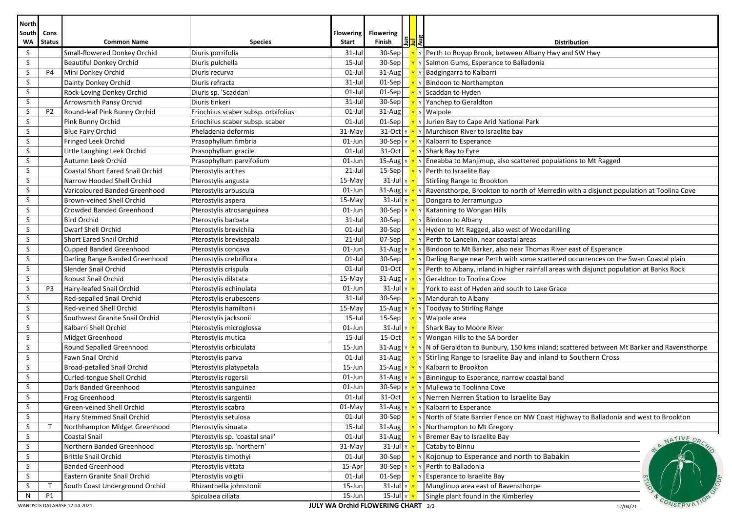| <b>North</b>       |                                                                                           |                                         |                                     |                                  |                                                                 |                                                                                                                                                     |  |  |
|--------------------|-------------------------------------------------------------------------------------------|-----------------------------------------|-------------------------------------|----------------------------------|-----------------------------------------------------------------|-----------------------------------------------------------------------------------------------------------------------------------------------------|--|--|
| South<br><b>WA</b> | Cons<br><b>Status</b>                                                                     | <b>Common Name</b>                      | <b>Species</b>                      | <b>Flowering</b><br><b>Start</b> | <b>Flowering</b><br><u>।</u><br>∏∍ <mark>∃</mark> द्य<br>Finish | <b>Distribution</b>                                                                                                                                 |  |  |
| S                  |                                                                                           | Small-flowered Donkey Orchid            | Diuris porrifolia                   | 31-Jul                           | $30-Sep$                                                        | $\mathbf{v}$ $\mathbf{v}$ Perth to Boyup Brook, between Albany Hwy and SW Hwy                                                                       |  |  |
| S.                 |                                                                                           | <b>Beautiful Donkey Orchid</b>          | Diuris pulchella                    | $15$ -Jul                        |                                                                 | 30-Sep $\mathbf{v}$ $\mathbf{v}$ Salmon Gums, Esperance to Balladonia                                                                               |  |  |
| S                  | <b>P4</b>                                                                                 | Mini Donkey Orchid                      | Diuris recurva                      | $01-Jul$                         |                                                                 | 31-Aug $\mathbf{v} \times \mathbf{B}$ Padgingarra to Kalbarri                                                                                       |  |  |
| S                  |                                                                                           | Dainty Donkey Orchid                    | Diuris refracta                     | $31 -$ Jul                       |                                                                 | 01-Sep $\mathbf{v}$ $\mathbf{v}$ Bindoon to Northampton                                                                                             |  |  |
| S                  |                                                                                           | Rock-Loving Donkey Orchid               | Diuris sp. 'Scaddan'                | $01-Jul$                         |                                                                 | $\boxed{01\text{-}Sep \boxed{Y}Y}$ Scaddan to Hyden                                                                                                 |  |  |
| S                  |                                                                                           | Arrowsmith Pansy Orchid                 | Diuris tinkeri                      | $31 -$ Jul                       |                                                                 | 30-Sep $\mathbf{v}$ $\mathbf{v}$ Y Yanchep to Geraldton                                                                                             |  |  |
| S                  | P <sub>2</sub>                                                                            | Round-leaf Pink Bunny Orchid            | Eriochilus scaber subsp. orbifolius | $01$ -Jul                        |                                                                 | $31$ -Aug $\mathbf{v}$ Y Walpole                                                                                                                    |  |  |
| S                  |                                                                                           | Pink Bunny Orchid                       | Eriochilus scaber subsp. scaber     | $01-Jul$                         |                                                                 | 01-Sep $\left \right  \mathbf{Y}$ $\mathbf{Y}$ Jurien Bay to Cape Arid National Park                                                                |  |  |
| S                  |                                                                                           | <b>Blue Fairy Orchid</b>                | Pheladenia deformis                 | 31-May                           |                                                                 | 31-Oct $\ v\ $ $\ v\ $ Murchison River to Israelite bay                                                                                             |  |  |
| S                  |                                                                                           | Fringed Leek Orchid                     | Prasophyllum fimbria                | 01-Jun                           |                                                                 | 30-Sep $\ v\ $ $\ v\ $ Kalbarri to Esperance                                                                                                        |  |  |
| S                  |                                                                                           | Little Laughing Leek Orchid             | Prasophyllum gracile                | $01$ -Jul                        |                                                                 | 31-Oct $\mathbf{v}$ $\mathbf{v}$ Shark Bay to Eyre                                                                                                  |  |  |
| S                  |                                                                                           | Autumn Leek Orchid                      | Prasophyllum parvifolium            | $01$ -Jun                        |                                                                 | 15-Aug $\ v\ $ $\ v\ $ Eneabba to Manjimup, also scattered populations to Mt Ragged                                                                 |  |  |
| S                  |                                                                                           | <b>Coastal Short Eared Snail Orchid</b> | Pterostylis actites                 | $21$ -Jul                        |                                                                 | 15-Sep $\mathbf{v} \times \mathbf{P}$ Perth to Israelite Bay                                                                                        |  |  |
| S                  |                                                                                           | Narrow Hooded Shell Orchid              | Pterostylis angusta                 | 15-May                           |                                                                 | $\overline{31}$ -Jul $\overline{Y}$ Stirliing Range to Brookton                                                                                     |  |  |
| S                  |                                                                                           | Varicoloured Banded Greenhood           | Pterostylis arbuscula               | 01-Jun                           |                                                                 | 31-Aug $\sqrt{\mathbf{v}^T\mathbf{v}^T}$ $\sqrt{\mathbf{R}}$ Ravensthorpe, Brookton to north of Merredin with a disjunct population at Toolina Cove |  |  |
| S                  |                                                                                           | <b>Brown-veined Shell Orchid</b>        | Pterostylis aspera                  | 15-May                           |                                                                 | 31-Jul $\  \mathbf{v} \ $ Dongara to Jerramungup                                                                                                    |  |  |
| S                  |                                                                                           | <b>Crowded Banded Greenhood</b>         | Pterostylis atrosanguinea           | 01-Jun                           |                                                                 | 30-Sep $\ v\ $ $\ v\ $ Katanning to Wongan Hills                                                                                                    |  |  |
| S                  |                                                                                           | <b>Bird Orchid</b>                      | Pterostylis barbata                 | 31-Jul                           |                                                                 | 30-Sep $\mathbf{v}$ $\mathbf{v}$ Bindoon to Albany                                                                                                  |  |  |
| S                  |                                                                                           | Dwarf Shell Orchid                      | Pterostylis brevichila              | $01$ -Jul                        |                                                                 | 30-Sep $\mathbf{v} \times \mathbf{v}$ Hyden to Mt Ragged, also west of Woodanilling                                                                 |  |  |
| S                  |                                                                                           | <b>Short Eared Snail Orchid</b>         | Pterostylis brevisepala             | $21$ -Jul                        |                                                                 | 07-Sep $\mathbf{v} \times \mathbf{P}$ $\mathbf{v}$ Perth to Lancelin, near coastal areas                                                            |  |  |
| S                  |                                                                                           | Cupped Banded Greenhood                 | Pterostylis concava                 | $01$ -Jun                        |                                                                 | 31-Aug $\ v\ $ $\ v\ $ Bindoon to Mt Barker, also near Thomas River east of Esperance                                                               |  |  |
| S                  |                                                                                           | Darling Range Banded Greenhood          | Pterostylis crebriflora             | $01-Jul$                         |                                                                 | 30-Sep $\ $ <b>y</b> $\sqrt{}$ Darling Range near Perth with some scattered occurrences on the Swan Coastal plain                                   |  |  |
| S                  |                                                                                           | Slender Snail Orchid                    | Pterostylis crispula                | $01-Jul$                         |                                                                 | 01-Oct $\ \mathbf{v}\ $ $\mathbf{v}\ $ Perth to Albany, inland in higher rainfall areas with disjunct population at Banks Rock                      |  |  |
| S                  |                                                                                           | <b>Robust Snail Orchid</b>              | Pterostylis dilatata                | 15-May                           |                                                                 | 31-Aug $\ $ $\mathbf{v}$ $\ $ $\mathbf{v}$ $\ $ Geraldton to Toolina Cove                                                                           |  |  |
| S                  | P3                                                                                        | Hairy-leafed Snail Orchid               | Pterostylis echinulata              | 01-Jun                           |                                                                 | 31-Jul $\ v\ $   York to east of Hyden and south to Lake Grace                                                                                      |  |  |
| S                  |                                                                                           | Red-sepalled Snail Orchid               | Pterostylis erubescens              | 31-Jul                           |                                                                 | 30-Sep $\mathbf{v}$ $\mathbf{v}$ Mandurah to Albany                                                                                                 |  |  |
| S                  |                                                                                           | Red-veined Shell Orchid                 | Pterostylis hamiltonii              | $15-May$                         |                                                                 | 15-Aug $\mathbf{v} \times \mathbf{v}$ Toodyay to Stirling Range                                                                                     |  |  |
| S                  |                                                                                           | Southwest Granite Snail Orchid          | Pterostylis jacksonii               | $15$ -Jul                        |                                                                 | 15-Sep   <mark>Y</mark> Y Walpole area                                                                                                              |  |  |
| S                  |                                                                                           | Kalbarri Shell Orchid                   | Pterostylis microglossa             | $01$ -Jun                        |                                                                 | 31-Jul Y Y Shark Bay to Moore River                                                                                                                 |  |  |
| S                  |                                                                                           | Midget Greenhood                        | Pterostylis mutica                  | $15$ -Jul                        |                                                                 | 15-Oct $\mathbf{v}$ $\mathbf{v}$ Wongan Hills to the SA border                                                                                      |  |  |
| S                  |                                                                                           | Round Sepalled Greenhood                | Pterostylis orbiculata              | 15-Jun                           |                                                                 | 31-Aug $\ v - v\ $ N of Geraldton to Bunbury, 150 kms inland; scattered between Mt Barker and Ravensthorpe                                          |  |  |
| S                  |                                                                                           | Fawn Snail Orchid                       | Pterostylis parva                   | $01$ -Jul                        |                                                                 | 31-Aug $\ \mathbf{v}\ $ Stirling Range to Israelite Bay and inland to Southern Cross                                                                |  |  |
| S                  |                                                                                           | <b>Broad-petalled Snail Orchid</b>      | Pterostylis platypetala             | 15-Jun                           |                                                                 | 15-Aug Y Y Y Kalbarri to Brookton                                                                                                                   |  |  |
| S                  |                                                                                           | Curled-tongue Shell Orchid              | Pterostylis rogersii                | $01$ -Jun                        |                                                                 | 31-Aug $\ v\ $ $\ v\ $ Binningup to Esperance, narrow coastal band                                                                                  |  |  |
| S                  |                                                                                           | Dark Banded Greenhood                   | Pterostylis sanguinea               | $01$ -Jun                        |                                                                 | 30-Sep $\ v\ $ $\ v\ $ Mullewa to Toolinna Cove                                                                                                     |  |  |
| S                  |                                                                                           | Frog Greenhood                          | Pterostylis sargentii               | $01$ -Jul                        |                                                                 | 31-Oct   <u>v</u> v    Nerren Nerren Station to Israelite Bay                                                                                       |  |  |
| <sub>S</sub>       |                                                                                           | Green-veined Shell Orchid               | Pterostylis scabra                  | 01-May                           |                                                                 | 31-Aug $\mathbf{v} \times \mathbf{v}$ Kalbarri to Esperance                                                                                         |  |  |
| S.                 |                                                                                           | Hairy Stemmed Snail Orchid              | Pterostylis setulosa                | $01$ -Jul                        |                                                                 | 30-Sep $\mathbf{v}$ $\mathbf{v}$ Morth of State Barrier Fence on NW Coast Highway to Balladonia and west to Brookton                                |  |  |
| S                  |                                                                                           | Northhampton Midget Greenhood           | Pterostylis sinuata                 | 15-Jul                           |                                                                 | 31-Aug $\mathbf{v}$ $\mathbf{v}$ Northampton to Mt Gregory                                                                                          |  |  |
| S                  |                                                                                           | <b>Coastal Snail</b>                    | Pterostylis sp. 'coastal snail'     | $01$ -Jul                        |                                                                 | 31-Aug $\mathbf{v}$ $\mathbf{v}$ Bremer Bay to Israelite Bay<br>NATIVE ORC                                                                          |  |  |
| S                  |                                                                                           | Northern Banded Greenhood               | Pterostylis sp. 'northern'          | 31-May                           | $31$ -Jul $\sqrt{r}$                                            | Cataby to Binnu                                                                                                                                     |  |  |
| S                  |                                                                                           | <b>Brittle Snail Orchid</b>             | Pterostylis timothyi                | $01$ -Jul                        |                                                                 | 30-Sep $\mathbf{v} \times \mathbf{v}$ Kojonup to Esperance and north to Babakin                                                                     |  |  |
| S                  |                                                                                           | <b>Banded Greenhood</b>                 | Pterostylis vittata                 | 15-Apr                           |                                                                 | 30-Sep $\  \mathbf{v} \  \mathbf{v} \ $ Perth to Balladonia                                                                                         |  |  |
| S                  |                                                                                           | Eastern Granite Snail Orchid            | Pterostylis voigtii                 | $01$ -Jul                        |                                                                 | 01-Sep $\mathbf{v}$ $\mathbf{v}$ Esperance to Israelite Bay                                                                                         |  |  |
| S                  |                                                                                           | South Coast Underground Orchid          | Rhizanthella johnstonii             | 15-Jun                           | $31$ -Jul $\gamma$ $\gamma$                                     | Munglinup area east of Ravensthorpe                                                                                                                 |  |  |
| N                  | P1                                                                                        |                                         | Spiculaea ciliata                   | 15-Jun                           | $15$ -Jul $\vert \text{y} \vert \text{y}$                       | Single plant found in the Kimberley                                                                                                                 |  |  |
|                    | CONSERVA<br>JULY WA Orchid FLOWERING CHART 2/3<br>WANOSCG DATABASE 12.04.2021<br>12/04/21 |                                         |                                     |                                  |                                                                 |                                                                                                                                                     |  |  |